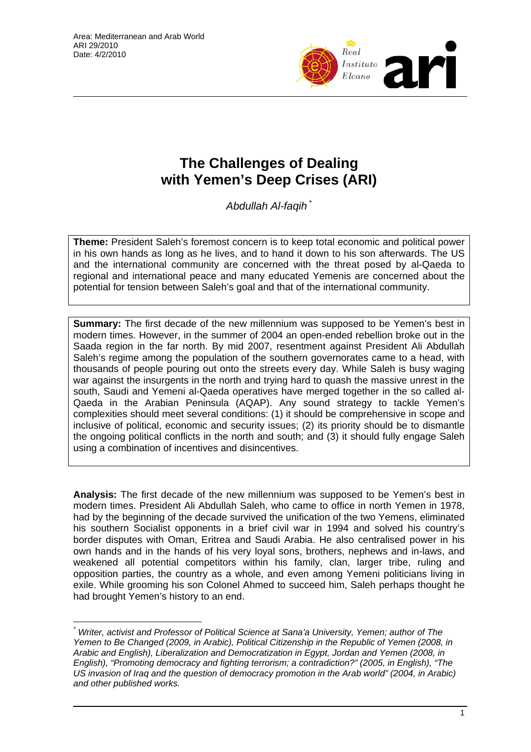

# **The Challenges of Dealing with Yemen's Deep Crises (ARI)**

*Abdullah Al-faqih* [\\*](#page-0-0)

**Theme:** President Saleh's foremost concern is to keep total economic and political power in his own hands as long as he lives, and to hand it down to his son afterwards. The US and the international community are concerned with the threat posed by al-Qaeda to regional and international peace and many educated Yemenis are concerned about the potential for tension between Saleh's goal and that of the international community.

**Summary:** The first decade of the new millennium was supposed to be Yemen's best in modern times. However, in the summer of 2004 an open-ended rebellion broke out in the Saada region in the far north. By mid 2007, resentment against President Ali Abdullah Saleh's regime among the population of the southern governorates came to a head, with thousands of people pouring out onto the streets every day. While Saleh is busy waging war against the insurgents in the north and trying hard to quash the massive unrest in the south, Saudi and Yemeni al-Qaeda operatives have merged together in the so called al-Qaeda in the Arabian Peninsula (AQAP). Any sound strategy to tackle Yemen's complexities should meet several conditions: (1) it should be comprehensive in scope and inclusive of political, economic and security issues; (2) its priority should be to dismantle the ongoing political conflicts in the north and south; and (3) it should fully engage Saleh using a combination of incentives and disincentives.

**Analysis:** The first decade of the new millennium was supposed to be Yemen's best in modern times. President Ali Abdullah Saleh, who came to office in north Yemen in 1978, had by the beginning of the decade survived the unification of the two Yemens, eliminated his southern Socialist opponents in a brief civil war in 1994 and solved his country's border disputes with Oman, Eritrea and Saudi Arabia. He also centralised power in his own hands and in the hands of his very loyal sons, brothers, nephews and in-laws, and weakened all potential competitors within his family, clan, larger tribe, ruling and opposition parties, the country as a whole, and even among Yemeni politicians living in exile. While grooming his son Colonel Ahmed to succeed him, Saleh perhaps thought he had brought Yemen's history to an end.

<span id="page-0-0"></span> $\overline{a}$ *\* Writer, activist and Professor of Political Science at Sana'a University, Yemen; author of The Yemen to Be Changed (2009, in Arabic), Political Citizenship in the Republic of Yemen (2008, in Arabic and English), Liberalization and Democratization in Egypt, Jordan and Yemen (2008, in English), "Promoting democracy and fighting terrorism; a contradiction?" (2005, in English), "The US invasion of Iraq and the question of democracy promotion in the Arab world" (2004, in Arabic) and other published works.*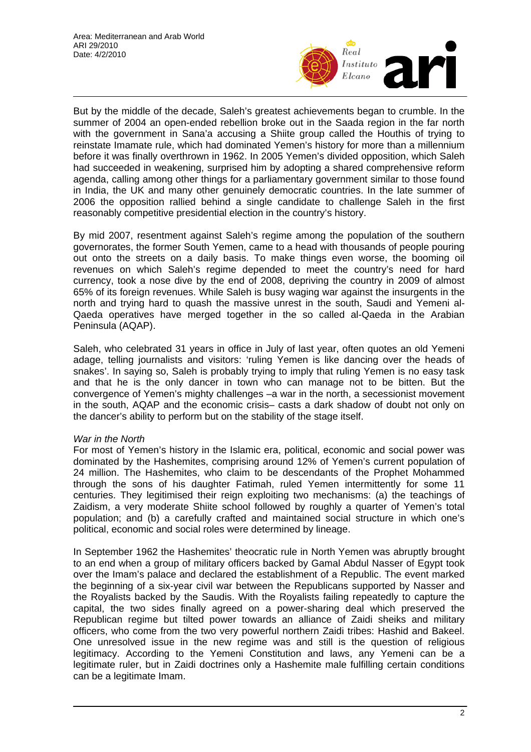

But by the middle of the decade, Saleh's greatest achievements began to crumble. In the summer of 2004 an open-ended rebellion broke out in the Saada region in the far north with the government in Sana'a accusing a Shiite group called the Houthis of trying to reinstate Imamate rule, which had dominated Yemen's history for more than a millennium before it was finally overthrown in 1962. In 2005 Yemen's divided opposition, which Saleh had succeeded in weakening, surprised him by adopting a shared comprehensive reform agenda, calling among other things for a parliamentary government similar to those found in India, the UK and many other genuinely democratic countries. In the late summer of 2006 the opposition rallied behind a single candidate to challenge Saleh in the first reasonably competitive presidential election in the country's history.

By mid 2007, resentment against Saleh's regime among the population of the southern governorates, the former South Yemen, came to a head with thousands of people pouring out onto the streets on a daily basis. To make things even worse, the booming oil revenues on which Saleh's regime depended to meet the country's need for hard currency, took a nose dive by the end of 2008, depriving the country in 2009 of almost 65% of its foreign revenues. While Saleh is busy waging war against the insurgents in the north and trying hard to quash the massive unrest in the south, Saudi and Yemeni al-Qaeda operatives have merged together in the so called al-Qaeda in the Arabian Peninsula (AQAP).

Saleh, who celebrated 31 years in office in July of last year, often quotes an old Yemeni adage, telling journalists and visitors: 'ruling Yemen is like dancing over the heads of snakes'. In saying so, Saleh is probably trying to imply that ruling Yemen is no easy task and that he is the only dancer in town who can manage not to be bitten. But the convergence of Yemen's mighty challenges –a war in the north, a secessionist movement in the south, AQAP and the economic crisis– casts a dark shadow of doubt not only on the dancer's ability to perform but on the stability of the stage itself.

## *War in the North*

For most of Yemen's history in the Islamic era, political, economic and social power was dominated by the Hashemites, comprising around 12% of Yemen's current population of 24 million. The Hashemites, who claim to be descendants of the Prophet Mohammed through the sons of his daughter Fatimah, ruled Yemen intermittently for some 11 centuries. They legitimised their reign exploiting two mechanisms: (a) the teachings of Zaidism, a very moderate Shiite school followed by roughly a quarter of Yemen's total population; and (b) a carefully crafted and maintained social structure in which one's political, economic and social roles were determined by lineage.

In September 1962 the Hashemites' theocratic rule in North Yemen was abruptly brought to an end when a group of military officers backed by Gamal Abdul Nasser of Egypt took over the Imam's palace and declared the establishment of a Republic. The event marked the beginning of a six-year civil war between the Republicans supported by Nasser and the Royalists backed by the Saudis. With the Royalists failing repeatedly to capture the capital, the two sides finally agreed on a power-sharing deal which preserved the Republican regime but tilted power towards an alliance of Zaidi sheiks and military officers, who come from the two very powerful northern Zaidi tribes: Hashid and Bakeel. One unresolved issue in the new regime was and still is the question of religious legitimacy. According to the Yemeni Constitution and laws, any Yemeni can be a legitimate ruler, but in Zaidi doctrines only a Hashemite male fulfilling certain conditions can be a legitimate Imam.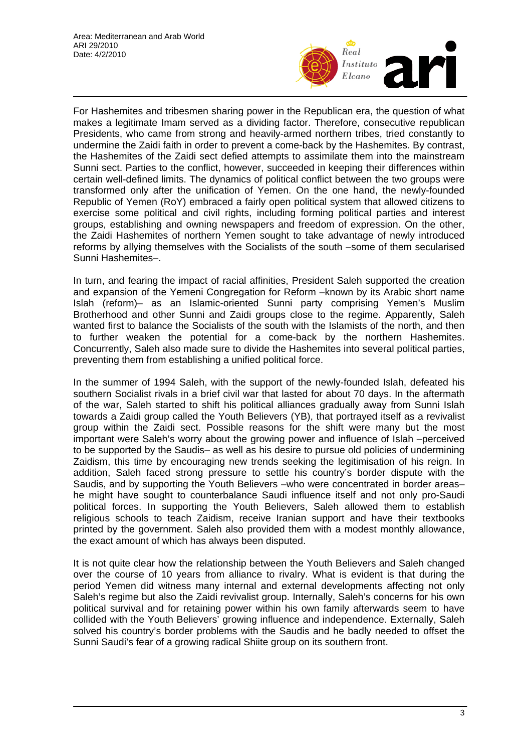

For Hashemites and tribesmen sharing power in the Republican era, the question of what makes a legitimate Imam served as a dividing factor. Therefore, consecutive republican Presidents, who came from strong and heavily-armed northern tribes, tried constantly to undermine the Zaidi faith in order to prevent a come-back by the Hashemites. By contrast, the Hashemites of the Zaidi sect defied attempts to assimilate them into the mainstream Sunni sect. Parties to the conflict, however, succeeded in keeping their differences within certain well-defined limits. The dynamics of political conflict between the two groups were transformed only after the unification of Yemen. On the one hand, the newly-founded Republic of Yemen (RoY) embraced a fairly open political system that allowed citizens to exercise some political and civil rights, including forming political parties and interest groups, establishing and owning newspapers and freedom of expression. On the other, the Zaidi Hashemites of northern Yemen sought to take advantage of newly introduced reforms by allying themselves with the Socialists of the south –some of them secularised Sunni Hashemites–.

In turn, and fearing the impact of racial affinities, President Saleh supported the creation and expansion of the Yemeni Congregation for Reform –known by its Arabic short name Islah (reform)– as an Islamic-oriented Sunni party comprising Yemen's Muslim Brotherhood and other Sunni and Zaidi groups close to the regime. Apparently, Saleh wanted first to balance the Socialists of the south with the Islamists of the north, and then to further weaken the potential for a come-back by the northern Hashemites. Concurrently, Saleh also made sure to divide the Hashemites into several political parties, preventing them from establishing a unified political force.

In the summer of 1994 Saleh, with the support of the newly-founded Islah, defeated his southern Socialist rivals in a brief civil war that lasted for about 70 days. In the aftermath of the war, Saleh started to shift his political alliances gradually away from Sunni Islah towards a Zaidi group called the Youth Believers (YB), that portrayed itself as a revivalist group within the Zaidi sect. Possible reasons for the shift were many but the most important were Saleh's worry about the growing power and influence of Islah –perceived to be supported by the Saudis– as well as his desire to pursue old policies of undermining Zaidism, this time by encouraging new trends seeking the legitimisation of his reign. In addition, Saleh faced strong pressure to settle his country's border dispute with the Saudis, and by supporting the Youth Believers –who were concentrated in border areas– he might have sought to counterbalance Saudi influence itself and not only pro-Saudi political forces. In supporting the Youth Believers, Saleh allowed them to establish religious schools to teach Zaidism, receive Iranian support and have their textbooks printed by the government. Saleh also provided them with a modest monthly allowance, the exact amount of which has always been disputed.

It is not quite clear how the relationship between the Youth Believers and Saleh changed over the course of 10 years from alliance to rivalry. What is evident is that during the period Yemen did witness many internal and external developments affecting not only Saleh's regime but also the Zaidi revivalist group. Internally, Saleh's concerns for his own political survival and for retaining power within his own family afterwards seem to have collided with the Youth Believers' growing influence and independence. Externally, Saleh solved his country's border problems with the Saudis and he badly needed to offset the Sunni Saudi's fear of a growing radical Shiite group on its southern front.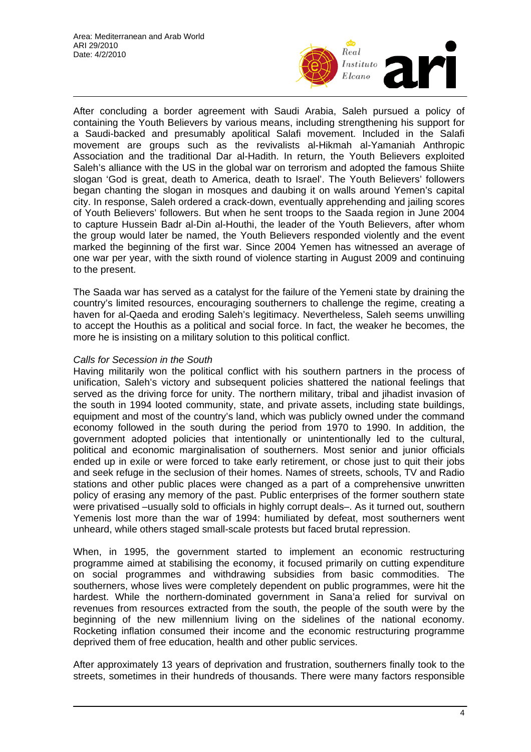

After concluding a border agreement with Saudi Arabia, Saleh pursued a policy of containing the Youth Believers by various means, including strengthening his support for a Saudi-backed and presumably apolitical Salafi movement. Included in the Salafi movement are groups such as the revivalists al-Hikmah al-Yamaniah Anthropic Association and the traditional Dar al-Hadith. In return, the Youth Believers exploited Saleh's alliance with the US in the global war on terrorism and adopted the famous Shiite slogan 'God is great, death to America, death to Israel'. The Youth Believers' followers began chanting the slogan in mosques and daubing it on walls around Yemen's capital city. In response, Saleh ordered a crack-down, eventually apprehending and jailing scores of Youth Believers' followers. But when he sent troops to the Saada region in June 2004 to capture Hussein Badr al-Din al-Houthi, the leader of the Youth Believers, after whom the group would later be named, the Youth Believers responded violently and the event marked the beginning of the first war. Since 2004 Yemen has witnessed an average of one war per year, with the sixth round of violence starting in August 2009 and continuing to the present.

The Saada war has served as a catalyst for the failure of the Yemeni state by draining the country's limited resources, encouraging southerners to challenge the regime, creating a haven for al-Qaeda and eroding Saleh's legitimacy. Nevertheless, Saleh seems unwilling to accept the Houthis as a political and social force. In fact, the weaker he becomes, the more he is insisting on a military solution to this political conflict.

### *Calls for Secession in the South*

Having militarily won the political conflict with his southern partners in the process of unification, Saleh's victory and subsequent policies shattered the national feelings that served as the driving force for unity. The northern military, tribal and jihadist invasion of the south in 1994 looted community, state, and private assets, including state buildings, equipment and most of the country's land, which was publicly owned under the command economy followed in the south during the period from 1970 to 1990. In addition, the government adopted policies that intentionally or unintentionally led to the cultural, political and economic marginalisation of southerners. Most senior and junior officials ended up in exile or were forced to take early retirement, or chose just to quit their jobs and seek refuge in the seclusion of their homes. Names of streets, schools, TV and Radio stations and other public places were changed as a part of a comprehensive unwritten policy of erasing any memory of the past. Public enterprises of the former southern state were privatised –usually sold to officials in highly corrupt deals–. As it turned out, southern Yemenis lost more than the war of 1994: humiliated by defeat, most southerners went unheard, while others staged small-scale protests but faced brutal repression.

When, in 1995, the government started to implement an economic restructuring programme aimed at stabilising the economy, it focused primarily on cutting expenditure on social programmes and withdrawing subsidies from basic commodities. The southerners, whose lives were completely dependent on public programmes, were hit the hardest. While the northern-dominated government in Sana'a relied for survival on revenues from resources extracted from the south, the people of the south were by the beginning of the new millennium living on the sidelines of the national economy. Rocketing inflation consumed their income and the economic restructuring programme deprived them of free education, health and other public services.

After approximately 13 years of deprivation and frustration, southerners finally took to the streets, sometimes in their hundreds of thousands. There were many factors responsible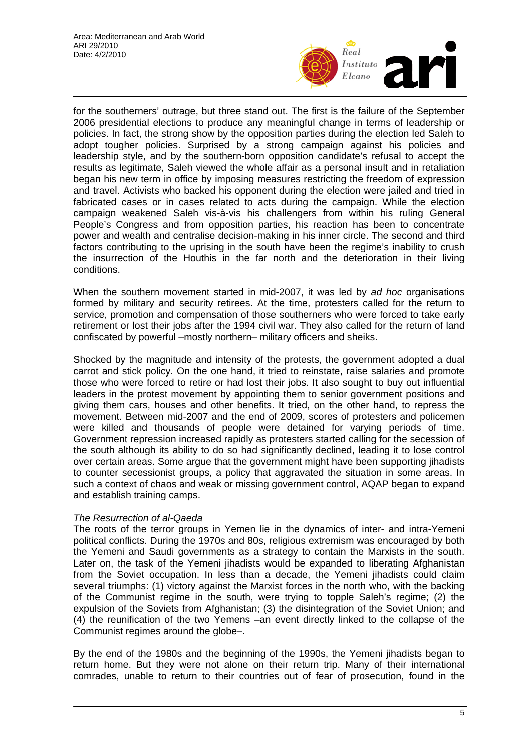

for the southerners' outrage, but three stand out. The first is the failure of the September 2006 presidential elections to produce any meaningful change in terms of leadership or policies. In fact, the strong show by the opposition parties during the election led Saleh to adopt tougher policies. Surprised by a strong campaign against his policies and leadership style, and by the southern-born opposition candidate's refusal to accept the results as legitimate, Saleh viewed the whole affair as a personal insult and in retaliation began his new term in office by imposing measures restricting the freedom of expression and travel. Activists who backed his opponent during the election were jailed and tried in fabricated cases or in cases related to acts during the campaign. While the election campaign weakened Saleh vis-à-vis his challengers from within his ruling General People's Congress and from opposition parties, his reaction has been to concentrate power and wealth and centralise decision-making in his inner circle. The second and third factors contributing to the uprising in the south have been the regime's inability to crush the insurrection of the Houthis in the far north and the deterioration in their living conditions.

When the southern movement started in mid-2007, it was led by *ad hoc* organisations formed by military and security retirees. At the time, protesters called for the return to service, promotion and compensation of those southerners who were forced to take early retirement or lost their jobs after the 1994 civil war. They also called for the return of land confiscated by powerful –mostly northern– military officers and sheiks.

Shocked by the magnitude and intensity of the protests, the government adopted a dual carrot and stick policy. On the one hand, it tried to reinstate, raise salaries and promote those who were forced to retire or had lost their jobs. It also sought to buy out influential leaders in the protest movement by appointing them to senior government positions and giving them cars, houses and other benefits. It tried, on the other hand, to repress the movement. Between mid-2007 and the end of 2009, scores of protesters and policemen were killed and thousands of people were detained for varying periods of time. Government repression increased rapidly as protesters started calling for the secession of the south although its ability to do so had significantly declined, leading it to lose control over certain areas. Some argue that the government might have been supporting jihadists to counter secessionist groups, a policy that aggravated the situation in some areas. In such a context of chaos and weak or missing government control, AQAP began to expand and establish training camps.

## *The Resurrection of al-Qaeda*

The roots of the terror groups in Yemen lie in the dynamics of inter- and intra-Yemeni political conflicts. During the 1970s and 80s, religious extremism was encouraged by both the Yemeni and Saudi governments as a strategy to contain the Marxists in the south. Later on, the task of the Yemeni jihadists would be expanded to liberating Afghanistan from the Soviet occupation. In less than a decade, the Yemeni jihadists could claim several triumphs: (1) victory against the Marxist forces in the north who, with the backing of the Communist regime in the south, were trying to topple Saleh's regime; (2) the expulsion of the Soviets from Afghanistan; (3) the disintegration of the Soviet Union; and (4) the reunification of the two Yemens –an event directly linked to the collapse of the Communist regimes around the globe–.

By the end of the 1980s and the beginning of the 1990s, the Yemeni jihadists began to return home. But they were not alone on their return trip. Many of their international comrades, unable to return to their countries out of fear of prosecution, found in the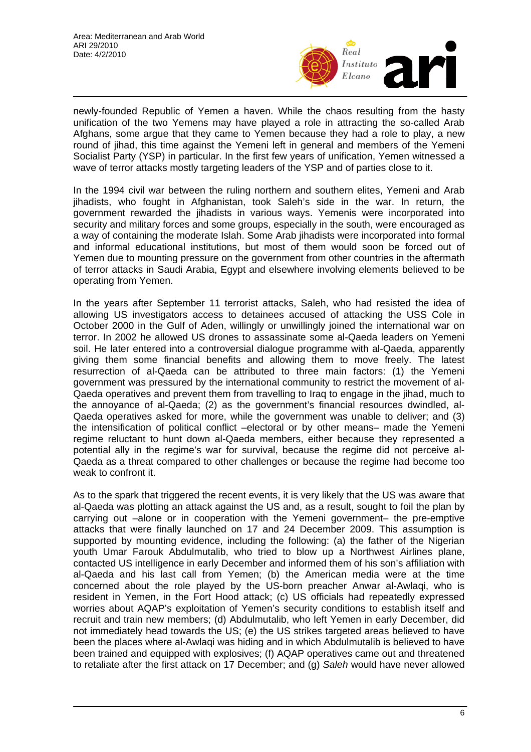

newly-founded Republic of Yemen a haven. While the chaos resulting from the hasty unification of the two Yemens may have played a role in attracting the so-called Arab Afghans, some argue that they came to Yemen because they had a role to play, a new round of jihad, this time against the Yemeni left in general and members of the Yemeni Socialist Party (YSP) in particular. In the first few years of unification, Yemen witnessed a wave of terror attacks mostly targeting leaders of the YSP and of parties close to it.

In the 1994 civil war between the ruling northern and southern elites, Yemeni and Arab jihadists, who fought in Afghanistan, took Saleh's side in the war. In return, the government rewarded the jihadists in various ways. Yemenis were incorporated into security and military forces and some groups, especially in the south, were encouraged as a way of containing the moderate Islah. Some Arab jihadists were incorporated into formal and informal educational institutions, but most of them would soon be forced out of Yemen due to mounting pressure on the government from other countries in the aftermath of terror attacks in Saudi Arabia, Egypt and elsewhere involving elements believed to be operating from Yemen.

In the years after September 11 terrorist attacks, Saleh, who had resisted the idea of allowing US investigators access to detainees accused of attacking the USS Cole in October 2000 in the Gulf of Aden, willingly or unwillingly joined the international war on terror. In 2002 he allowed US drones to assassinate some al-Qaeda leaders on Yemeni soil. He later entered into a controversial dialogue programme with al-Qaeda, apparently giving them some financial benefits and allowing them to move freely. The latest resurrection of al-Qaeda can be attributed to three main factors: (1) the Yemeni government was pressured by the international community to restrict the movement of al-Qaeda operatives and prevent them from travelling to Iraq to engage in the jihad, much to the annoyance of al-Qaeda; (2) as the government's financial resources dwindled, al-Qaeda operatives asked for more, while the government was unable to deliver; and (3) the intensification of political conflict –electoral or by other means– made the Yemeni regime reluctant to hunt down al-Qaeda members, either because they represented a potential ally in the regime's war for survival, because the regime did not perceive al-Qaeda as a threat compared to other challenges or because the regime had become too weak to confront it.

As to the spark that triggered the recent events, it is very likely that the US was aware that al-Qaeda was plotting an attack against the US and, as a result, sought to foil the plan by carrying out –alone or in cooperation with the Yemeni government– the pre-emptive attacks that were finally launched on 17 and 24 December 2009. This assumption is supported by mounting evidence, including the following: (a) the father of the Nigerian youth Umar Farouk Abdulmutalib, who tried to blow up a Northwest Airlines plane, contacted US intelligence in early December and informed them of his son's affiliation with al-Qaeda and his last call from Yemen; (b) the American media were at the time concerned about the role played by the US-born preacher Anwar al-Awlaqi, who is resident in Yemen, in the Fort Hood attack; (c) US officials had repeatedly expressed worries about AQAP's exploitation of Yemen's security conditions to establish itself and recruit and train new members; (d) Abdulmutalib, who left Yemen in early December, did not immediately head towards the US; (e) the US strikes targeted areas believed to have been the places where al-Awlaqi was hiding and in which Abdulmutalib is believed to have been trained and equipped with explosives; (f) AQAP operatives came out and threatened to retaliate after the first attack on 17 December; and (g) *Saleh* would have never allowed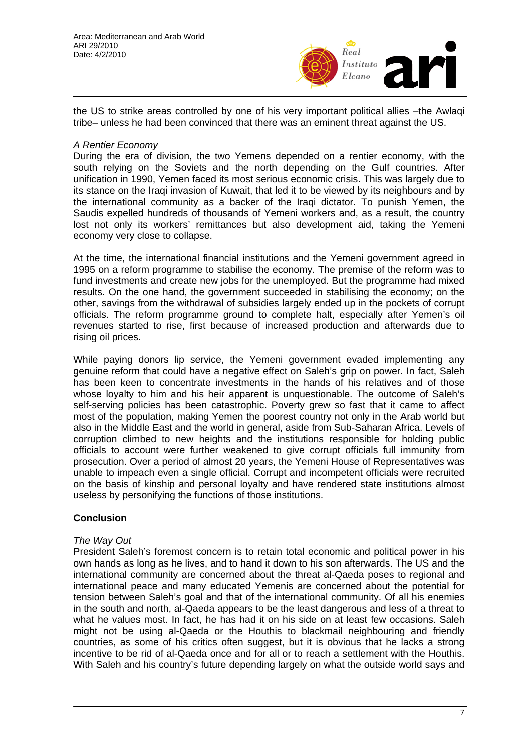

the US to strike areas controlled by one of his very important political allies –the Awlaqi tribe– unless he had been convinced that there was an eminent threat against the US.

### *A Rentier Economy*

During the era of division, the two Yemens depended on a rentier economy, with the south relying on the Soviets and the north depending on the Gulf countries. After unification in 1990, Yemen faced its most serious economic crisis. This was largely due to its stance on the Iraqi invasion of Kuwait, that led it to be viewed by its neighbours and by the international community as a backer of the Iraqi dictator. To punish Yemen, the Saudis expelled hundreds of thousands of Yemeni workers and, as a result, the country lost not only its workers' remittances but also development aid, taking the Yemeni economy very close to collapse.

At the time, the international financial institutions and the Yemeni government agreed in 1995 on a reform programme to stabilise the economy. The premise of the reform was to fund investments and create new jobs for the unemployed. But the programme had mixed results. On the one hand, the government succeeded in stabilising the economy; on the other, savings from the withdrawal of subsidies largely ended up in the pockets of corrupt officials. The reform programme ground to complete halt, especially after Yemen's oil revenues started to rise, first because of increased production and afterwards due to rising oil prices.

While paying donors lip service, the Yemeni government evaded implementing any genuine reform that could have a negative effect on Saleh's grip on power. In fact, Saleh has been keen to concentrate investments in the hands of his relatives and of those whose loyalty to him and his heir apparent is unquestionable. The outcome of Saleh's self-serving policies has been catastrophic. Poverty grew so fast that it came to affect most of the population, making Yemen the poorest country not only in the Arab world but also in the Middle East and the world in general, aside from Sub-Saharan Africa. Levels of corruption climbed to new heights and the institutions responsible for holding public officials to account were further weakened to give corrupt officials full immunity from prosecution. Over a period of almost 20 years, the Yemeni House of Representatives was unable to impeach even a single official. Corrupt and incompetent officials were recruited on the basis of kinship and personal loyalty and have rendered state institutions almost useless by personifying the functions of those institutions.

## **Conclusion**

#### *The Way Out*

President Saleh's foremost concern is to retain total economic and political power in his own hands as long as he lives, and to hand it down to his son afterwards. The US and the international community are concerned about the threat al-Qaeda poses to regional and international peace and many educated Yemenis are concerned about the potential for tension between Saleh's goal and that of the international community. Of all his enemies in the south and north, al-Qaeda appears to be the least dangerous and less of a threat to what he values most. In fact, he has had it on his side on at least few occasions. Saleh might not be using al-Qaeda or the Houthis to blackmail neighbouring and friendly countries, as some of his critics often suggest, but it is obvious that he lacks a strong incentive to be rid of al-Qaeda once and for all or to reach a settlement with the Houthis. With Saleh and his country's future depending largely on what the outside world says and